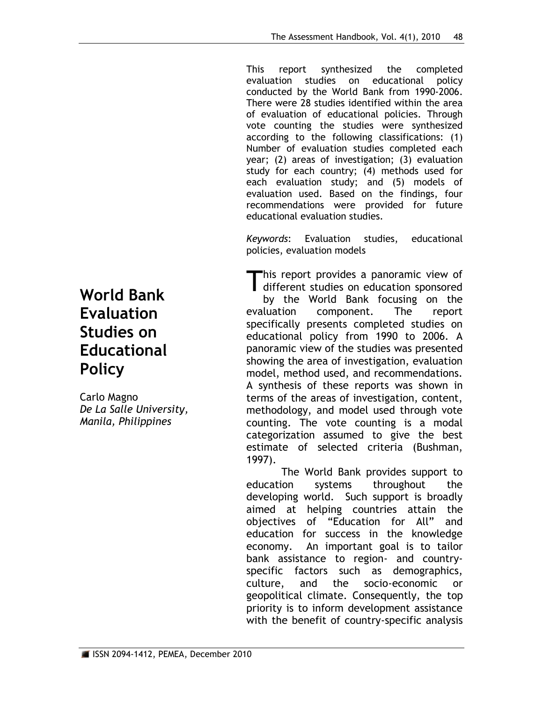This report synthesized the completed evaluation studies on educational policy conducted by the World Bank from 1990-2006. There were 28 studies identified within the area of evaluation of educational policies. Through vote counting the studies were synthesized according to the following classifications: (1) Number of evaluation studies completed each year; (2) areas of investigation; (3) evaluation study for each country; (4) methods used for each evaluation study; and (5) models of evaluation used. Based on the findings, four recommendations were provided for future educational evaluation studies.

*Keywords*: Evaluation studies, educational policies, evaluation models

his report provides a panoramic view of This report provides a panoramic view of<br>different studies on education sponsored

by the World Bank focusing on the evaluation component. The report specifically presents completed studies on educational policy from 1990 to 2006. A panoramic view of the studies was presented showing the area of investigation, evaluation model, method used, and recommendations. A synthesis of these reports was shown in terms of the areas of investigation, content, methodology, and model used through vote counting. The vote counting is a modal categorization assumed to give the best estimate of selected criteria (Bushman, 1997).

The World Bank provides support to education systems throughout the developing world. Such support is broadly aimed at helping countries attain the objectives of "Education for All" and education for success in the knowledge economy. An important goal is to tailor bank assistance to region- and countryspecific factors such as demographics, culture, and the socio-economic or geopolitical climate. Consequently, the top priority is to inform development assistance with the benefit of country-specific analysis

# **World Bank Evaluation Studies on Educational Policy**

Carlo Magno *De La Salle University, Manila, Philippines*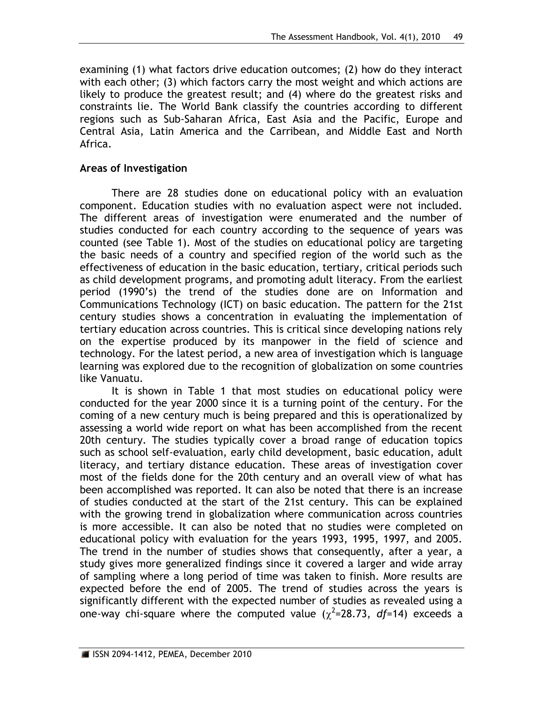examining (1) what factors drive education outcomes; (2) how do they interact with each other; (3) which factors carry the most weight and which actions are likely to produce the greatest result; and (4) where do the greatest risks and constraints lie. The World Bank classify the countries according to different regions such as Sub-Saharan Africa, East Asia and the Pacific, Europe and Central Asia, Latin America and the Carribean, and Middle East and North Africa.

#### **Areas of Investigation**

There are 28 studies done on educational policy with an evaluation component. Education studies with no evaluation aspect were not included. The different areas of investigation were enumerated and the number of studies conducted for each country according to the sequence of years was counted (see Table 1). Most of the studies on educational policy are targeting the basic needs of a country and specified region of the world such as the effectiveness of education in the basic education, tertiary, critical periods such as child development programs, and promoting adult literacy. From the earliest period (1990's) the trend of the studies done are on Information and Communications Technology (ICT) on basic education. The pattern for the 21st century studies shows a concentration in evaluating the implementation of tertiary education across countries. This is critical since developing nations rely on the expertise produced by its manpower in the field of science and technology. For the latest period, a new area of investigation which is language learning was explored due to the recognition of globalization on some countries like Vanuatu.

It is shown in Table 1 that most studies on educational policy were conducted for the year 2000 since it is a turning point of the century. For the coming of a new century much is being prepared and this is operationalized by assessing a world wide report on what has been accomplished from the recent 20th century. The studies typically cover a broad range of education topics such as school self-evaluation, early child development, basic education, adult literacy, and tertiary distance education. These areas of investigation cover most of the fields done for the 20th century and an overall view of what has been accomplished was reported. It can also be noted that there is an increase of studies conducted at the start of the 21st century. This can be explained with the growing trend in globalization where communication across countries is more accessible. It can also be noted that no studies were completed on educational policy with evaluation for the years 1993, 1995, 1997, and 2005. The trend in the number of studies shows that consequently, after a year, a study gives more generalized findings since it covered a larger and wide array of sampling where a long period of time was taken to finish. More results are expected before the end of 2005. The trend of studies across the years is significantly different with the expected number of studies as revealed using a one-way chi-square where the computed value  $(\chi^2=28.73, df=14)$  exceeds a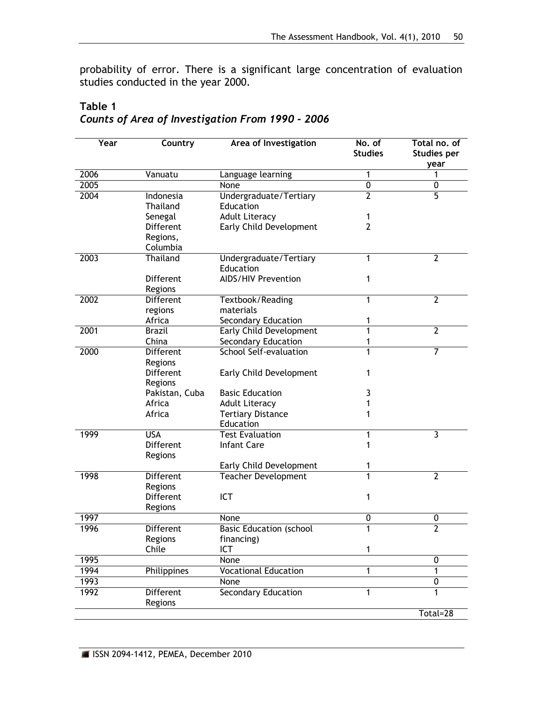probability of error. There is a significant large concentration of evaluation studies conducted in the year 2000.

| <b>Year</b> | Country                     | Area of Investigation                 | No. of<br><b>Studies</b> | Total no. of<br><b>Studies per</b><br>year |
|-------------|-----------------------------|---------------------------------------|--------------------------|--------------------------------------------|
| 2006        | Vanuatu                     | Language learning                     | 1                        | 1                                          |
| 2005        |                             | None                                  | $\overline{0}$           | $\overline{0}$                             |
| 2004        | Indonesia                   | Undergraduate/Tertiary                | $\overline{2}$           | $\overline{5}$                             |
|             | Thailand                    | Education                             |                          |                                            |
|             | Senegal                     | <b>Adult Literacy</b>                 | 1                        |                                            |
|             | <b>Different</b>            | Early Child Development               | $\overline{2}$           |                                            |
|             | Regions,                    |                                       |                          |                                            |
|             | Columbia                    |                                       |                          |                                            |
| 2003        | Thailand                    | Undergraduate/Tertiary<br>Education   | 1                        | $\overline{2}$                             |
|             | Different                   | AIDS/HIV Prevention                   | 1                        |                                            |
|             | Regions                     |                                       |                          |                                            |
| 2002        | <b>Different</b>            | Textbook/Reading                      | 1                        | $\overline{2}$                             |
|             | regions                     | materials                             |                          |                                            |
|             | Africa                      | <b>Secondary Education</b>            | 1                        |                                            |
| 2001        | <b>Brazil</b>               | <b>Early Child Development</b>        | 1                        | $\overline{2}$                             |
|             | China                       | Secondary Education                   | 1                        |                                            |
| 2000        | <b>Different</b>            | <b>School Self-evaluation</b>         | 1                        | 7                                          |
|             | Regions                     |                                       |                          |                                            |
|             | <b>Different</b>            | Early Child Development               | 1                        |                                            |
|             | Regions                     |                                       |                          |                                            |
|             | Pakistan, Cuba              | <b>Basic Education</b>                | 3                        |                                            |
|             | Africa                      | <b>Adult Literacy</b>                 | 1                        |                                            |
|             | Africa                      | <b>Tertiary Distance</b><br>Education | 1                        |                                            |
| 1999        | <b>USA</b>                  | <b>Test Evaluation</b>                | 1                        | 3                                          |
|             | <b>Different</b>            | <b>Infant Care</b>                    | 1                        |                                            |
|             | Regions                     |                                       |                          |                                            |
|             |                             | Early Child Development               | 1                        |                                            |
| 1998        | <b>Different</b>            | <b>Teacher Development</b>            | 1                        | 2                                          |
|             | Regions                     |                                       |                          |                                            |
|             | <b>Different</b>            | ICT                                   | 1                        |                                            |
|             | Regions                     |                                       |                          |                                            |
| 1997        |                             | None                                  | $\mathbf 0$              | 0                                          |
| 1996        | Different                   | <b>Basic Education (school</b>        | 1                        | $\overline{2}$                             |
|             | Regions                     | financing)                            |                          |                                            |
|             | Chile                       | <b>ICT</b>                            | 1                        |                                            |
| 1995        |                             | None                                  |                          | 0                                          |
| 1994        | Philippines                 | <b>Vocational Education</b>           | 1                        | 1                                          |
| 1993        |                             | None                                  |                          | $\overline{0}$                             |
| 1992        | <b>Different</b><br>Regions | <b>Secondary Education</b>            | 1                        | 1                                          |
|             |                             |                                       |                          | Total=28                                   |

## **Table 1** *Counts of Area of Investigation From 1990 - 2006*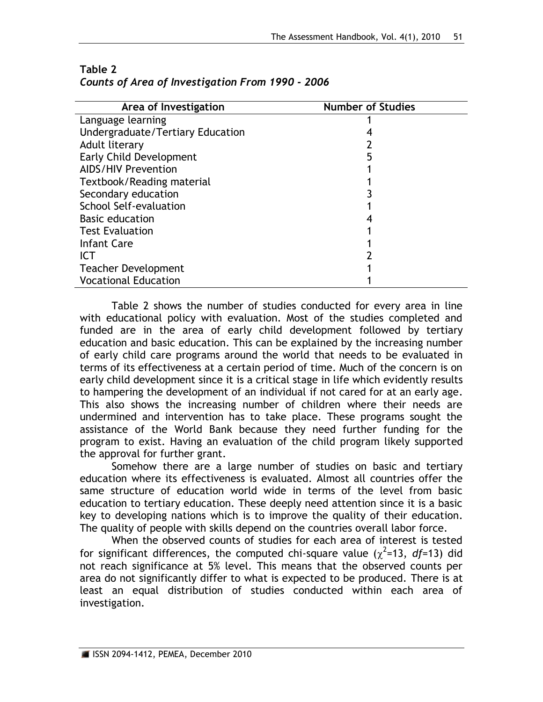| Area of Investigation            | <b>Number of Studies</b> |
|----------------------------------|--------------------------|
| Language learning                |                          |
| Undergraduate/Tertiary Education |                          |
| Adult literary                   |                          |
| Early Child Development          |                          |
| <b>AIDS/HIV Prevention</b>       |                          |
| Textbook/Reading material        |                          |
| Secondary education              |                          |
| School Self-evaluation           |                          |
| <b>Basic education</b>           |                          |
| <b>Test Evaluation</b>           |                          |
| <b>Infant Care</b>               |                          |
| <b>ICT</b>                       |                          |
| <b>Teacher Development</b>       |                          |
| <b>Vocational Education</b>      |                          |

## **Table 2** *Counts of Area of Investigation From 1990 - 2006*

Table 2 shows the number of studies conducted for every area in line with educational policy with evaluation. Most of the studies completed and funded are in the area of early child development followed by tertiary education and basic education. This can be explained by the increasing number of early child care programs around the world that needs to be evaluated in terms of its effectiveness at a certain period of time. Much of the concern is on early child development since it is a critical stage in life which evidently results to hampering the development of an individual if not cared for at an early age. This also shows the increasing number of children where their needs are undermined and intervention has to take place. These programs sought the assistance of the World Bank because they need further funding for the program to exist. Having an evaluation of the child program likely supported the approval for further grant.

Somehow there are a large number of studies on basic and tertiary education where its effectiveness is evaluated. Almost all countries offer the same structure of education world wide in terms of the level from basic education to tertiary education. These deeply need attention since it is a basic key to developing nations which is to improve the quality of their education. The quality of people with skills depend on the countries overall labor force.

When the observed counts of studies for each area of interest is tested for significant differences, the computed chi-square value  $(\chi^2=13, df=13)$  did not reach significance at 5% level. This means that the observed counts per area do not significantly differ to what is expected to be produced. There is at least an equal distribution of studies conducted within each area of investigation.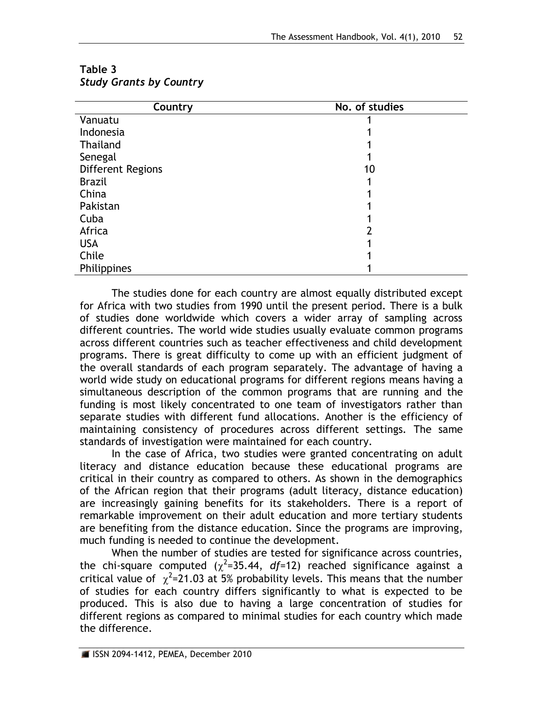| Country           | No. of studies |
|-------------------|----------------|
| Vanuatu           |                |
| Indonesia         |                |
| Thailand          |                |
| Senegal           |                |
| Different Regions | 10             |
| <b>Brazil</b>     |                |
| China             |                |
| Pakistan          |                |
| Cuba              |                |
| Africa            |                |
| <b>USA</b>        |                |
| Chile             |                |
| Philippines       |                |

**Table 3** *Study Grants by Country*

The studies done for each country are almost equally distributed except for Africa with two studies from 1990 until the present period. There is a bulk of studies done worldwide which covers a wider array of sampling across different countries. The world wide studies usually evaluate common programs across different countries such as teacher effectiveness and child development programs. There is great difficulty to come up with an efficient judgment of the overall standards of each program separately. The advantage of having a world wide study on educational programs for different regions means having a simultaneous description of the common programs that are running and the funding is most likely concentrated to one team of investigators rather than separate studies with different fund allocations. Another is the efficiency of maintaining consistency of procedures across different settings. The same standards of investigation were maintained for each country.

In the case of Africa, two studies were granted concentrating on adult literacy and distance education because these educational programs are critical in their country as compared to others. As shown in the demographics of the African region that their programs (adult literacy, distance education) are increasingly gaining benefits for its stakeholders. There is a report of remarkable improvement on their adult education and more tertiary students are benefiting from the distance education. Since the programs are improving, much funding is needed to continue the development.

When the number of studies are tested for significance across countries, the chi-square computed  $(\chi^2=35.44, df=12)$  reached significance against a critical value of  $\chi^2$ =21.03 at 5% probability levels. This means that the number of studies for each country differs significantly to what is expected to be produced. This is also due to having a large concentration of studies for different regions as compared to minimal studies for each country which made the difference.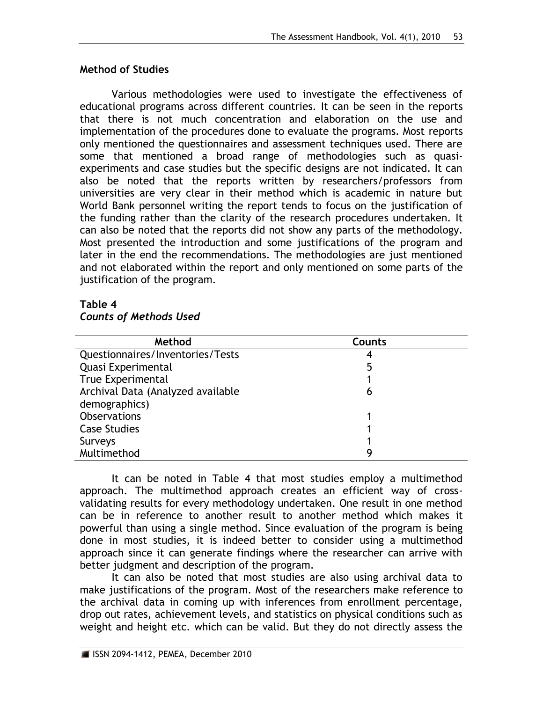#### **Method of Studies**

Various methodologies were used to investigate the effectiveness of educational programs across different countries. It can be seen in the reports that there is not much concentration and elaboration on the use and implementation of the procedures done to evaluate the programs. Most reports only mentioned the questionnaires and assessment techniques used. There are some that mentioned a broad range of methodologies such as quasiexperiments and case studies but the specific designs are not indicated. It can also be noted that the reports written by researchers/professors from universities are very clear in their method which is academic in nature but World Bank personnel writing the report tends to focus on the justification of the funding rather than the clarity of the research procedures undertaken. It can also be noted that the reports did not show any parts of the methodology. Most presented the introduction and some justifications of the program and later in the end the recommendations. The methodologies are just mentioned and not elaborated within the report and only mentioned on some parts of the justification of the program.

#### **Table 4**

# *Counts of Methods Used*

| Method                            | Counts |
|-----------------------------------|--------|
| Questionnaires/Inventories/Tests  |        |
| Quasi Experimental                | 5      |
| True Experimental                 |        |
| Archival Data (Analyzed available | 6      |
| demographics)                     |        |
| <b>Observations</b>               |        |
| <b>Case Studies</b>               |        |
| Surveys                           |        |
| Multimethod                       |        |

It can be noted in Table 4 that most studies employ a multimethod approach. The multimethod approach creates an efficient way of crossvalidating results for every methodology undertaken. One result in one method can be in reference to another result to another method which makes it powerful than using a single method. Since evaluation of the program is being done in most studies, it is indeed better to consider using a multimethod approach since it can generate findings where the researcher can arrive with better judgment and description of the program.

It can also be noted that most studies are also using archival data to make justifications of the program. Most of the researchers make reference to the archival data in coming up with inferences from enrollment percentage, drop out rates, achievement levels, and statistics on physical conditions such as weight and height etc. which can be valid. But they do not directly assess the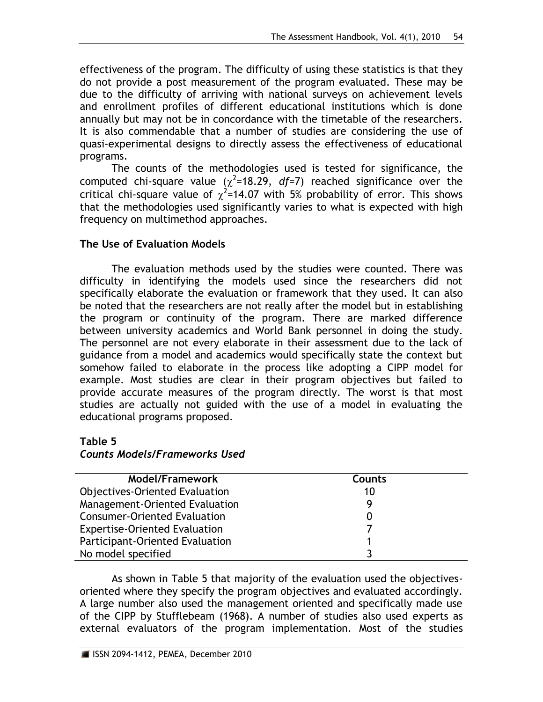effectiveness of the program. The difficulty of using these statistics is that they do not provide a post measurement of the program evaluated. These may be due to the difficulty of arriving with national surveys on achievement levels and enrollment profiles of different educational institutions which is done annually but may not be in concordance with the timetable of the researchers. It is also commendable that a number of studies are considering the use of quasi-experimental designs to directly assess the effectiveness of educational programs.

The counts of the methodologies used is tested for significance, the computed chi-square value  $(\chi^2=18.29, df=7)$  reached significance over the critical chi-square value of  $\chi^2$ =14.07 with 5% probability of error. This shows that the methodologies used significantly varies to what is expected with high frequency on multimethod approaches.

## **The Use of Evaluation Models**

The evaluation methods used by the studies were counted. There was difficulty in identifying the models used since the researchers did not specifically elaborate the evaluation or framework that they used. It can also be noted that the researchers are not really after the model but in establishing the program or continuity of the program. There are marked difference between university academics and World Bank personnel in doing the study. The personnel are not every elaborate in their assessment due to the lack of guidance from a model and academics would specifically state the context but somehow failed to elaborate in the process like adopting a CIPP model for example. Most studies are clear in their program objectives but failed to provide accurate measures of the program directly. The worst is that most studies are actually not guided with the use of a model in evaluating the educational programs proposed.

### **Table 5**

## *Counts Models/Frameworks Used*

| <b>Model/Framework</b>                | <b>Counts</b> |
|---------------------------------------|---------------|
| <b>Objectives-Oriented Evaluation</b> | 10            |
| Management-Oriented Evaluation        | Q             |
| <b>Consumer-Oriented Evaluation</b>   |               |
| <b>Expertise-Oriented Evaluation</b>  |               |
| Participant-Oriented Evaluation       |               |
| No model specified                    |               |

As shown in Table 5 that majority of the evaluation used the objectivesoriented where they specify the program objectives and evaluated accordingly. A large number also used the management oriented and specifically made use of the CIPP by Stufflebeam (1968). A number of studies also used experts as external evaluators of the program implementation. Most of the studies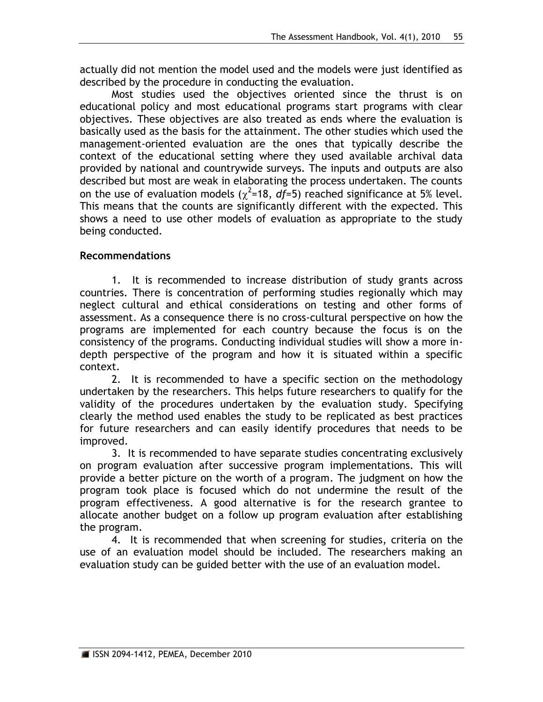actually did not mention the model used and the models were just identified as described by the procedure in conducting the evaluation.

Most studies used the objectives oriented since the thrust is on educational policy and most educational programs start programs with clear objectives. These objectives are also treated as ends where the evaluation is basically used as the basis for the attainment. The other studies which used the management-oriented evaluation are the ones that typically describe the context of the educational setting where they used available archival data provided by national and countrywide surveys. The inputs and outputs are also described but most are weak in elaborating the process undertaken. The counts on the use of evaluation models ( $\chi^2$ =18, *df*=5) reached significance at 5% level. This means that the counts are significantly different with the expected. This shows a need to use other models of evaluation as appropriate to the study being conducted.

#### **Recommendations**

1. It is recommended to increase distribution of study grants across countries. There is concentration of performing studies regionally which may neglect cultural and ethical considerations on testing and other forms of assessment. As a consequence there is no cross-cultural perspective on how the programs are implemented for each country because the focus is on the consistency of the programs. Conducting individual studies will show a more indepth perspective of the program and how it is situated within a specific context.

2. It is recommended to have a specific section on the methodology undertaken by the researchers. This helps future researchers to qualify for the validity of the procedures undertaken by the evaluation study. Specifying clearly the method used enables the study to be replicated as best practices for future researchers and can easily identify procedures that needs to be improved.

3. It is recommended to have separate studies concentrating exclusively on program evaluation after successive program implementations. This will provide a better picture on the worth of a program. The judgment on how the program took place is focused which do not undermine the result of the program effectiveness. A good alternative is for the research grantee to allocate another budget on a follow up program evaluation after establishing the program.

4. It is recommended that when screening for studies, criteria on the use of an evaluation model should be included. The researchers making an evaluation study can be guided better with the use of an evaluation model.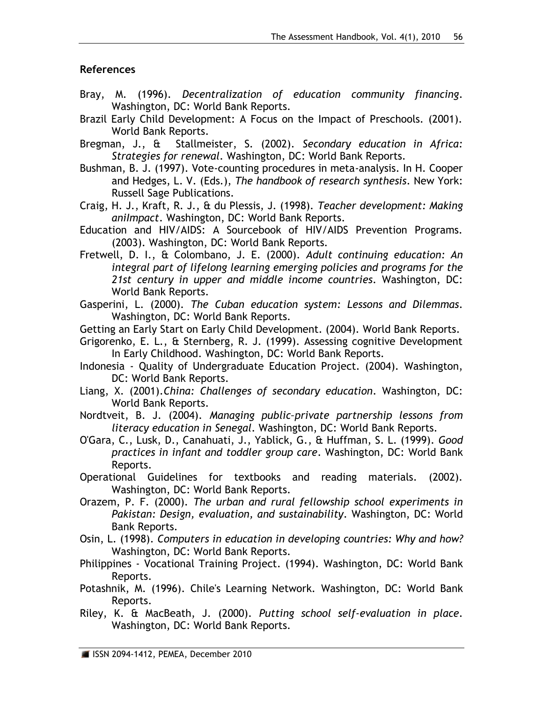# **References**

- Bray, M. (1996). *Decentralization of education community financing*. Washington, DC: World Bank Reports.
- Brazil Early Child Development: A Focus on the Impact of Preschools. (2001). World Bank Reports.
- Bregman, J., & Stallmeister, S. (2002). *Secondary education in Africa: Strategies for renewal*. Washington, DC: World Bank Reports.
- Bushman, B. J. (1997). Vote-counting procedures in meta-analysis. In H. Cooper and Hedges, L. V. (Eds.), *The handbook of research synthesis*. New York: Russell Sage Publications.
- Craig, H. J., Kraft, R. J., & du Plessis, J. (1998). *Teacher development: Making aniImpact*. Washington, DC: World Bank Reports.
- Education and HIV/AIDS: A Sourcebook of HIV/AIDS Prevention Programs. (2003). Washington, DC: World Bank Reports.
- Fretwell, D. I., & Colombano, J. E. (2000). *Adult continuing education: An integral part of lifelong learning emerging policies and programs for the 21st century in upper and middle income countries*. Washington, DC: World Bank Reports.
- Gasperini, L. (2000). *The Cuban education system: Lessons and Dilemmas*. Washington, DC: World Bank Reports.
- Getting an Early Start on Early Child Development. (2004). World Bank Reports.
- Grigorenko, E. L., & Sternberg, R. J. (1999). Assessing cognitive Development In Early Childhood. Washington, DC: World Bank Reports.
- Indonesia Quality of Undergraduate Education Project. (2004). Washington, DC: World Bank Reports.
- Liang, X. (2001).*China: Challenges of secondary education*. Washington, DC: World Bank Reports.
- Nordtveit, B. J. (2004). *Managing public–private partnership lessons from literacy education in Senegal*. Washington, DC: World Bank Reports.
- O'Gara, C., Lusk, D., Canahuati, J., Yablick, G., & Huffman, S. L. (1999). *Good practices in infant and toddler group care*. Washington, DC: World Bank Reports.
- Operational Guidelines for textbooks and reading materials. (2002). Washington, DC: World Bank Reports.
- Orazem, P. F. (2000). *The urban and rural fellowship school experiments in Pakistan: Design, evaluation, and sustainability*. Washington, DC: World Bank Reports.
- Osin, L. (1998). *Computers in education in developing countries: Why and how?* Washington, DC: World Bank Reports.
- Philippines Vocational Training Project. (1994). Washington, DC: World Bank Reports.
- Potashnik, M. (1996). Chile's Learning Network. Washington, DC: World Bank Reports.
- Riley, K. & MacBeath, J. (2000). *Putting school self-evaluation in place*. Washington, DC: World Bank Reports.